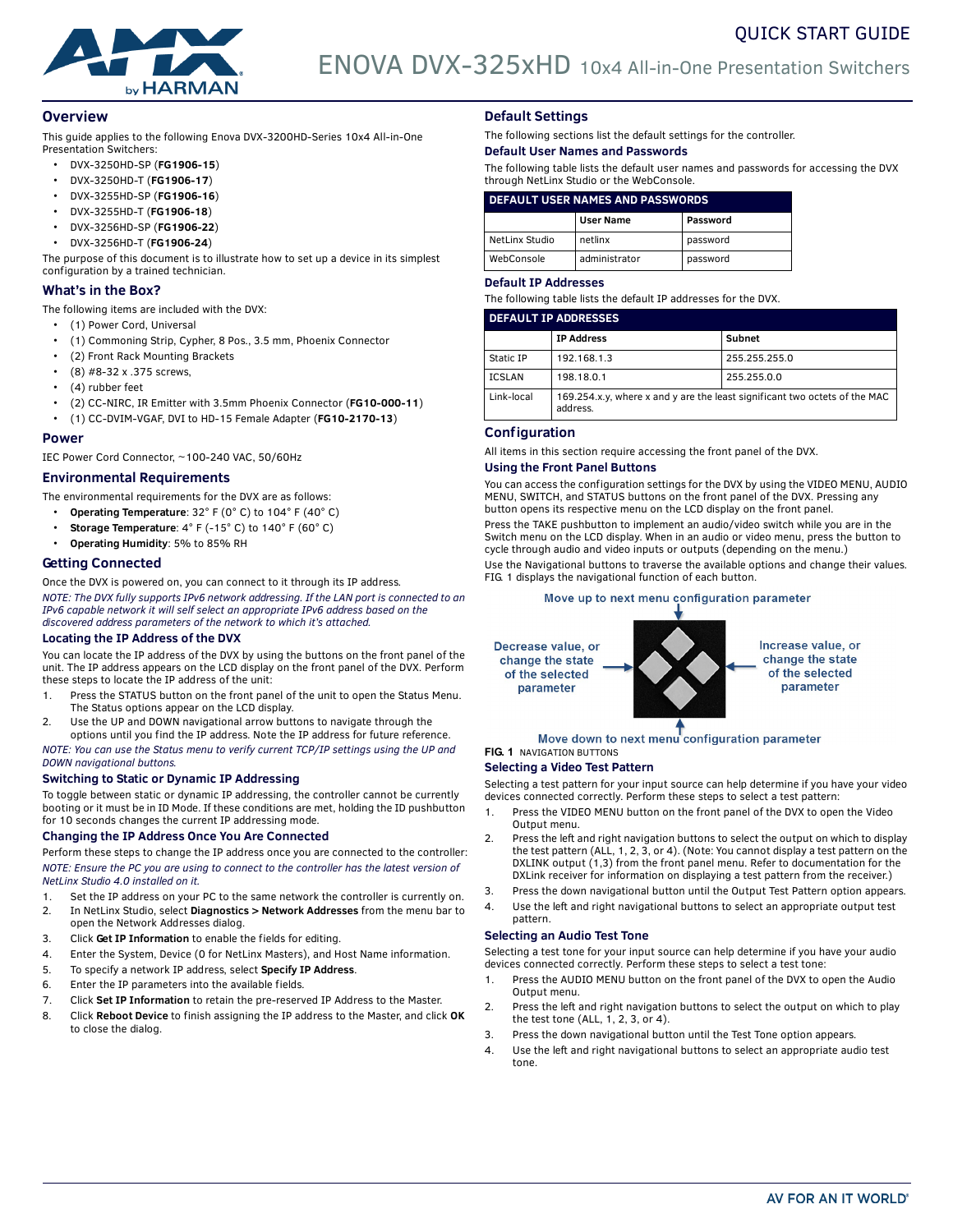



# **Overview**

This guide applies to the following Enova DVX-3200HD-Series 10x4 All-in-One Presentation Switchers:

- DVX-3250HD-SP (**FG1906-15**)
- DVX-3250HD-T (**FG1906-17**)
- DVX-3255HD-SP (**FG1906-16**)
- DVX-3255HD-T (**FG1906-18**)
- DVX-3256HD-SP (**FG1906-22**)
- DVX-3256HD-T (**FG1906-24**)

The purpose of this document is to illustrate how to set up a device in its simplest configuration by a trained technician.

# **What's in the Box?**

- The following items are included with the DVX:
	- (1) Power Cord, Universal
	- (1) Commoning Strip, Cypher, 8 Pos., 3.5 mm, Phoenix Connector
	- (2) Front Rack Mounting Brackets
	- (8) #8-32 x .375 screws,
	- (4) rubber feet
	- (2) CC-NIRC, IR Emitter with 3.5mm Phoenix Connector (**FG10-000-11**)
- (1) CC-DVIM-VGAF, DVI to HD-15 Female Adapter (**FG10-2170-13**)

#### **Power**

IEC Power Cord Connector, ~100-240 VAC, 50/60Hz

# **Environmental Requirements**

The environmental requirements for the DVX are as follows:

- **Operating Temperature**: 32° F (0° C) to 104° F (40° C)
- **Storage Temperature**: 4° F (-15° C) to 140° F (60° C)
- **Operating Humidity**: 5% to 85% RH

# **Getting Connected**

Once the DVX is powered on, you can connect to it through its IP address. *NOTE: The DVX fully supports IPv6 network addressing. If the LAN port is connected to an* 

*IPv6 capable network it will self select an appropriate IPv6 address based on the discovered address parameters of the network to which it's attached.*

#### **Locating the IP Address of the DVX**

You can locate the IP address of the DVX by using the buttons on the front panel of the unit. The IP address appears on the LCD display on the front panel of the DVX. Perform these steps to locate the IP address of the unit:

- 1. Press the STATUS button on the front panel of the unit to open the Status Menu. The Status options appear on the LCD display.
- 2. Use the UP and DOWN navigational arrow buttons to navigate through the options until you find the IP address. Note the IP address for future reference.

*NOTE: You can use the Status menu to verify current TCP/IP settings using the UP and DOWN navigational buttons.*

# **Switching to Static or Dynamic IP Addressing**

To toggle between static or dynamic IP addressing, the controller cannot be currently booting or it must be in ID Mode. If these conditions are met, holding the ID pushbutton for 10 seconds changes the current IP addressing mode.

# **Changing the IP Address Once You Are Connected**

Perform these steps to change the IP address once you are connected to the controller: *NOTE: Ensure the PC you are using to connect to the controller has the latest version of NetLinx Studio 4.0 installed on it.*

- 1. Set the IP address on your PC to the same network the controller is currently on. 2. In NetLinx Studio, select **Diagnostics > Network Addresses** from the menu bar to
- open the Network Addresses dialog.
- 3. Click **Get IP Information** to enable the fields for editing.
- 4. Enter the System, Device (0 for NetLinx Masters), and Host Name information.
- 5. To specify a network IP address, select **Specify IP Address**. 6. Enter the IP parameters into the available fields.
- 7. Click **Set IP Information** to retain the pre-reserved IP Address to the Master.
- 8. Click **Reboot Device** to finish assigning the IP address to the Master, and click **OK** to close the dialog.

# **Default Settings**

The following sections list the default settings for the controller.

# **Default User Names and Passwords**

The following table lists the default user names and passwords for accessing the DVX through NetLinx Studio or the WebConsole.

# **DEFAULT USER NAMES AND PASSWORDS**

|                | <b>User Name</b> | Password |
|----------------|------------------|----------|
| NetLinx Studio | netlinx          | password |
| WebConsole     | administrator    | password |

# **Default IP Addresses**

The following table lists the default IP addresses for the DVX.

| <b>DEFAULT IP ADDRESSES</b> |                                                                                        |               |  |  |
|-----------------------------|----------------------------------------------------------------------------------------|---------------|--|--|
|                             | <b>IP Address</b>                                                                      | Subnet        |  |  |
| Static IP                   | 192.168.1.3                                                                            | 255.255.255.0 |  |  |
| <b>ICSLAN</b>               | 198.18.0.1                                                                             | 255.255.0.0   |  |  |
| Link-local                  | 169.254.x.y, where x and y are the least significant two octets of the MAC<br>address. |               |  |  |

# **Configuration**

All items in this section require accessing the front panel of the DVX.

#### **Using the Front Panel Buttons**

You can access the configuration settings for the DVX by using the VIDEO MENU, AUDIO MENU, SWITCH, and STATUS buttons on the front panel of the DVX. Pressing any button opens its respective menu on the LCD display on the front panel.

Press the TAKE pushbutton to implement an audio/video switch while you are in the Switch menu on the LCD display. When in an audio or video menu, press the button to cycle through audio and video inputs or outputs (depending on the menu.)

Use the Navigational buttons to traverse the available options and change their values. [FIG. 1](#page-0-0) displays the navigational function of each button.

## Move up to next menu configuration parameter



#### Move down to next menu configuration parameter **FIG. 1** NAVIGATION BUTTONS

# <span id="page-0-0"></span>**Selecting a Video Test Pattern**

Selecting a test pattern for your input source can help determine if you have your video devices connected correctly. Perform these steps to select a test pattern:

- 1. Press the VIDEO MENU button on the front panel of the DVX to open the Video Output menu.
- 2. Press the left and right navigation buttons to select the output on which to display the test pattern (ALL, 1, 2, 3, or 4). (Note: You cannot display a test pattern on the DXLINK output (1,3) from the front panel menu. Refer to documentation for the DXLink receiver for information on displaying a test pattern from the receiver.)
- 3. Press the down navigational button until the Output Test Pattern option appears.
- 4. Use the left and right navigational buttons to select an appropriate output test pattern.

# **Selecting an Audio Test Tone**

Selecting a test tone for your input source can help determine if you have your audio devices connected correctly. Perform these steps to select a test tone:

- 1. Press the AUDIO MENU button on the front panel of the DVX to open the Audio Output menu.
- 2. Press the left and right navigation buttons to select the output on which to play the test tone (ALL, 1, 2, 3, or 4).
- 3. Press the down navigational button until the Test Tone option appears.
- 4. Use the left and right navigational buttons to select an appropriate audio test tone.